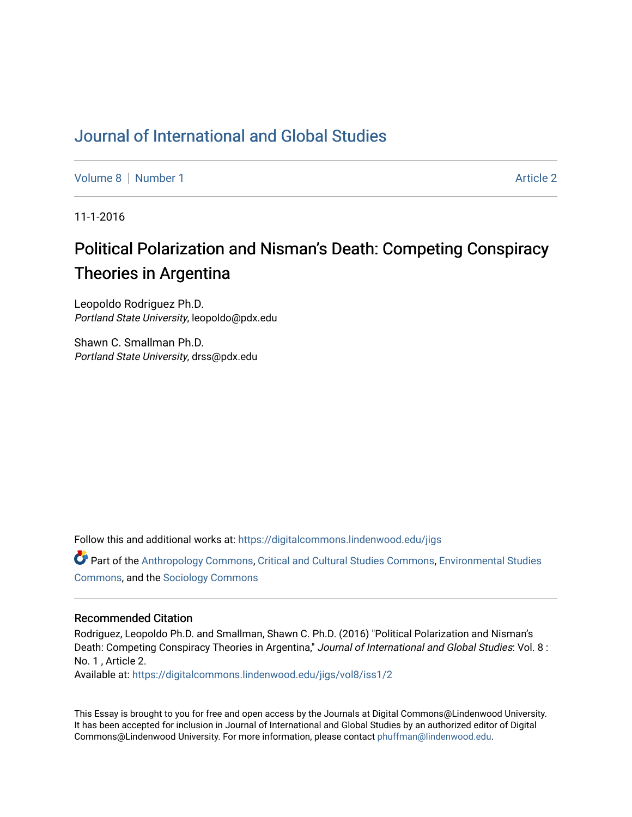## [Journal of International and Global Studies](https://digitalcommons.lindenwood.edu/jigs)

[Volume 8](https://digitalcommons.lindenwood.edu/jigs/vol8) | [Number 1](https://digitalcommons.lindenwood.edu/jigs/vol8/iss1) Article 2

11-1-2016

# Political Polarization and Nisman's Death: Competing Conspiracy Theories in Argentina

Leopoldo Rodriguez Ph.D. Portland State University, leopoldo@pdx.edu

Shawn C. Smallman Ph.D. Portland State University, drss@pdx.edu

Follow this and additional works at: [https://digitalcommons.lindenwood.edu/jigs](https://digitalcommons.lindenwood.edu/jigs?utm_source=digitalcommons.lindenwood.edu%2Fjigs%2Fvol8%2Fiss1%2F2&utm_medium=PDF&utm_campaign=PDFCoverPages) 

Part of the [Anthropology Commons](http://network.bepress.com/hgg/discipline/318?utm_source=digitalcommons.lindenwood.edu%2Fjigs%2Fvol8%2Fiss1%2F2&utm_medium=PDF&utm_campaign=PDFCoverPages), [Critical and Cultural Studies Commons](http://network.bepress.com/hgg/discipline/328?utm_source=digitalcommons.lindenwood.edu%2Fjigs%2Fvol8%2Fiss1%2F2&utm_medium=PDF&utm_campaign=PDFCoverPages), [Environmental Studies](http://network.bepress.com/hgg/discipline/1333?utm_source=digitalcommons.lindenwood.edu%2Fjigs%2Fvol8%2Fiss1%2F2&utm_medium=PDF&utm_campaign=PDFCoverPages)  [Commons](http://network.bepress.com/hgg/discipline/1333?utm_source=digitalcommons.lindenwood.edu%2Fjigs%2Fvol8%2Fiss1%2F2&utm_medium=PDF&utm_campaign=PDFCoverPages), and the [Sociology Commons](http://network.bepress.com/hgg/discipline/416?utm_source=digitalcommons.lindenwood.edu%2Fjigs%2Fvol8%2Fiss1%2F2&utm_medium=PDF&utm_campaign=PDFCoverPages)

#### Recommended Citation

Rodriguez, Leopoldo Ph.D. and Smallman, Shawn C. Ph.D. (2016) "Political Polarization and Nisman's Death: Competing Conspiracy Theories in Argentina," Journal of International and Global Studies: Vol. 8 : No. 1 , Article 2.

Available at: [https://digitalcommons.lindenwood.edu/jigs/vol8/iss1/2](https://digitalcommons.lindenwood.edu/jigs/vol8/iss1/2?utm_source=digitalcommons.lindenwood.edu%2Fjigs%2Fvol8%2Fiss1%2F2&utm_medium=PDF&utm_campaign=PDFCoverPages)

This Essay is brought to you for free and open access by the Journals at Digital Commons@Lindenwood University. It has been accepted for inclusion in Journal of International and Global Studies by an authorized editor of Digital Commons@Lindenwood University. For more information, please contact [phuffman@lindenwood.edu](mailto:phuffman@lindenwood.edu).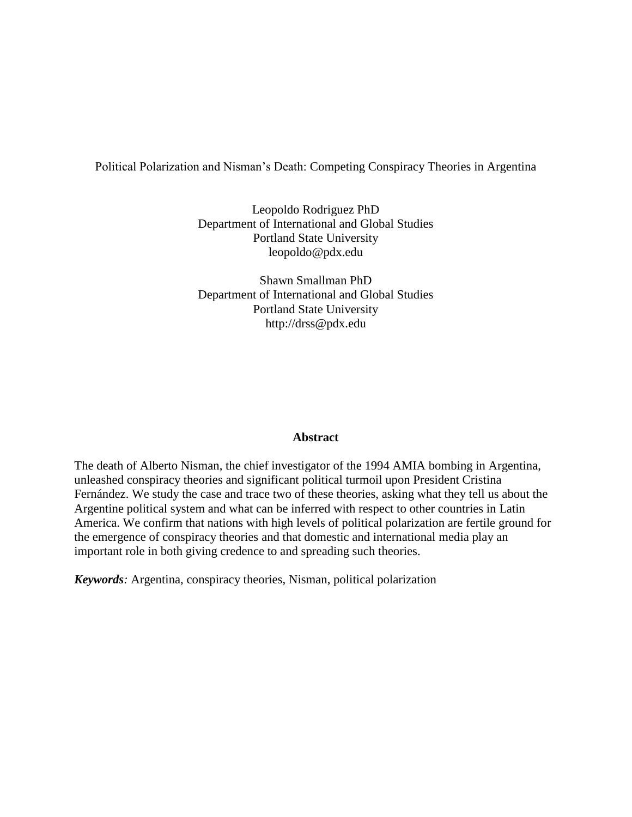Political Polarization and Nisman's Death: Competing Conspiracy Theories in Argentina

Leopoldo Rodriguez PhD Department of International and Global Studies Portland State University leopoldo@pdx.edu

Shawn Smallman PhD Department of International and Global Studies Portland State University http://drss@pdx.edu

#### **Abstract**

The death of Alberto Nisman, the chief investigator of the 1994 AMIA bombing in Argentina, unleashed conspiracy theories and significant political turmoil upon President Cristina Fernández. We study the case and trace two of these theories, asking what they tell us about the Argentine political system and what can be inferred with respect to other countries in Latin America. We confirm that nations with high levels of political polarization are fertile ground for the emergence of conspiracy theories and that domestic and international media play an important role in both giving credence to and spreading such theories.

*Keywords:* Argentina, conspiracy theories, Nisman, political polarization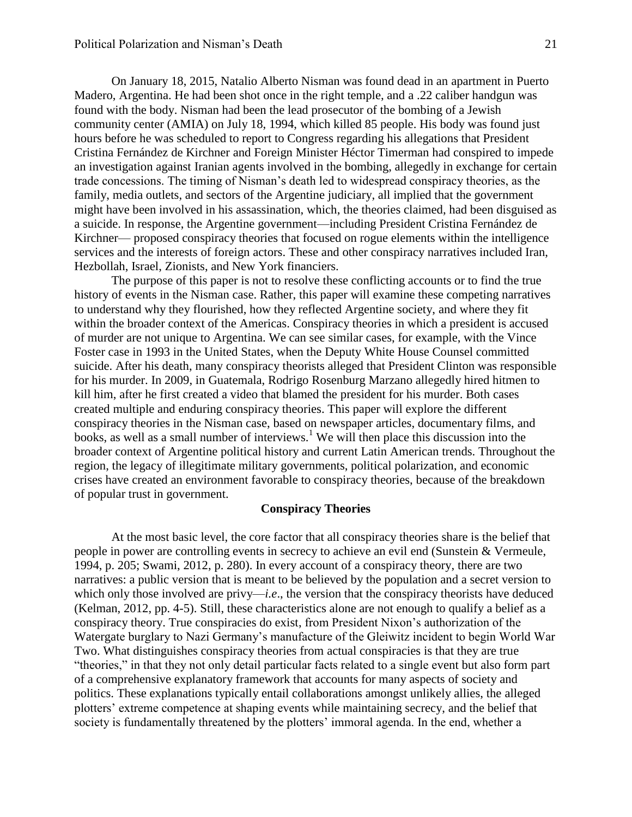On January 18, 2015, Natalio Alberto Nisman was found dead in an apartment in Puerto Madero, Argentina. He had been shot once in the right temple, and a .22 caliber handgun was found with the body. Nisman had been the lead prosecutor of the bombing of a Jewish community center (AMIA) on July 18, 1994, which killed 85 people. His body was found just hours before he was scheduled to report to Congress regarding his allegations that President Cristina Fernández de Kirchner and Foreign Minister Héctor Timerman had conspired to impede an investigation against Iranian agents involved in the bombing, allegedly in exchange for certain trade concessions. The timing of Nisman's death led to widespread conspiracy theories, as the family, media outlets, and sectors of the Argentine judiciary, all implied that the government might have been involved in his assassination, which, the theories claimed, had been disguised as a suicide. In response, the Argentine government—including President Cristina Fernández de Kirchner— proposed conspiracy theories that focused on rogue elements within the intelligence services and the interests of foreign actors. These and other conspiracy narratives included Iran, Hezbollah, Israel, Zionists, and New York financiers.

The purpose of this paper is not to resolve these conflicting accounts or to find the true history of events in the Nisman case. Rather, this paper will examine these competing narratives to understand why they flourished, how they reflected Argentine society, and where they fit within the broader context of the Americas. Conspiracy theories in which a president is accused of murder are not unique to Argentina. We can see similar cases, for example, with the Vince Foster case in 1993 in the United States, when the Deputy White House Counsel committed suicide. After his death, many conspiracy theorists alleged that President Clinton was responsible for his murder. In 2009, in Guatemala, Rodrigo Rosenburg Marzano allegedly hired hitmen to kill him, after he first created a video that blamed the president for his murder. Both cases created multiple and enduring conspiracy theories. This paper will explore the different conspiracy theories in the Nisman case, based on newspaper articles, documentary films, and books, as well as a small number of interviews.<sup>1</sup> We will then place this discussion into the broader context of Argentine political history and current Latin American trends. Throughout the region, the legacy of illegitimate military governments, political polarization, and economic crises have created an environment favorable to conspiracy theories, because of the breakdown of popular trust in government.

#### **Conspiracy Theories**

At the most basic level, the core factor that all conspiracy theories share is the belief that people in power are controlling events in secrecy to achieve an evil end (Sunstein & Vermeule, 1994, p. 205; Swami, 2012, p. 280). In every account of a conspiracy theory, there are two narratives: a public version that is meant to be believed by the population and a secret version to which only those involved are privy—*i.e*., the version that the conspiracy theorists have deduced (Kelman, 2012, pp. 4-5). Still, these characteristics alone are not enough to qualify a belief as a conspiracy theory. True conspiracies do exist, from President Nixon's authorization of the Watergate burglary to Nazi Germany's manufacture of the Gleiwitz incident to begin World War Two. What distinguishes conspiracy theories from actual conspiracies is that they are true "theories," in that they not only detail particular facts related to a single event but also form part of a comprehensive explanatory framework that accounts for many aspects of society and politics. These explanations typically entail collaborations amongst unlikely allies, the alleged plotters' extreme competence at shaping events while maintaining secrecy, and the belief that society is fundamentally threatened by the plotters' immoral agenda. In the end, whether a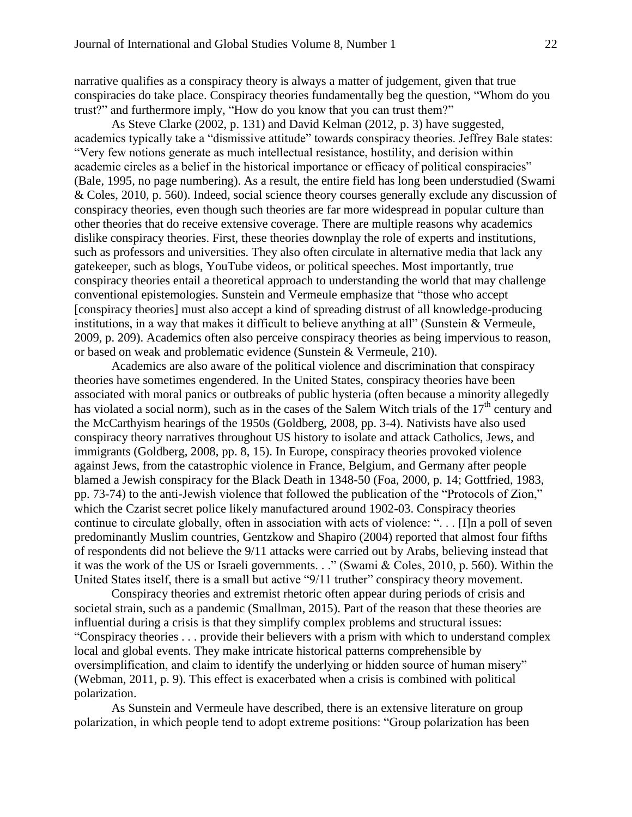narrative qualifies as a conspiracy theory is always a matter of judgement, given that true conspiracies do take place. Conspiracy theories fundamentally beg the question, "Whom do you trust?" and furthermore imply, "How do you know that you can trust them?"

As Steve Clarke (2002, p. 131) and David Kelman (2012, p. 3) have suggested, academics typically take a "dismissive attitude" towards conspiracy theories. Jeffrey Bale states: "Very few notions generate as much intellectual resistance, hostility, and derision within academic circles as a belief in the historical importance or efficacy of political conspiracies" (Bale, 1995, no page numbering). As a result, the entire field has long been understudied (Swami & Coles, 2010, p. 560). Indeed, social science theory courses generally exclude any discussion of conspiracy theories, even though such theories are far more widespread in popular culture than other theories that do receive extensive coverage. There are multiple reasons why academics dislike conspiracy theories. First, these theories downplay the role of experts and institutions, such as professors and universities. They also often circulate in alternative media that lack any gatekeeper, such as blogs, YouTube videos, or political speeches. Most importantly, true conspiracy theories entail a theoretical approach to understanding the world that may challenge conventional epistemologies. Sunstein and Vermeule emphasize that "those who accept [conspiracy theories] must also accept a kind of spreading distrust of all knowledge-producing institutions, in a way that makes it difficult to believe anything at all" (Sunstein & Vermeule, 2009, p. 209). Academics often also perceive conspiracy theories as being impervious to reason, or based on weak and problematic evidence (Sunstein & Vermeule, 210).

Academics are also aware of the political violence and discrimination that conspiracy theories have sometimes engendered. In the United States, conspiracy theories have been associated with moral panics or outbreaks of public hysteria (often because a minority allegedly has violated a social norm), such as in the cases of the Salem Witch trials of the  $17<sup>th</sup>$  century and the McCarthyism hearings of the 1950s (Goldberg, 2008, pp. 3-4). Nativists have also used conspiracy theory narratives throughout US history to isolate and attack Catholics, Jews, and immigrants (Goldberg, 2008, pp. 8, 15). In Europe, conspiracy theories provoked violence against Jews, from the catastrophic violence in France, Belgium, and Germany after people blamed a Jewish conspiracy for the Black Death in 1348-50 (Foa, 2000, p. 14; Gottfried, 1983, pp. 73-74) to the anti-Jewish violence that followed the publication of the "Protocols of Zion," which the Czarist secret police likely manufactured around 1902-03. Conspiracy theories continue to circulate globally, often in association with acts of violence: ". . . [I]n a poll of seven predominantly Muslim countries, Gentzkow and Shapiro (2004) reported that almost four fifths of respondents did not believe the 9/11 attacks were carried out by Arabs, believing instead that it was the work of the US or Israeli governments. . ." (Swami & Coles, 2010, p. 560). Within the United States itself, there is a small but active "9/11 truther" conspiracy theory movement.

Conspiracy theories and extremist rhetoric often appear during periods of crisis and societal strain, such as a pandemic (Smallman, 2015). Part of the reason that these theories are influential during a crisis is that they simplify complex problems and structural issues: "Conspiracy theories . . . provide their believers with a prism with which to understand complex local and global events. They make intricate historical patterns comprehensible by oversimplification, and claim to identify the underlying or hidden source of human misery" (Webman, 2011, p. 9). This effect is exacerbated when a crisis is combined with political polarization.

As Sunstein and Vermeule have described, there is an extensive literature on group polarization, in which people tend to adopt extreme positions: "Group polarization has been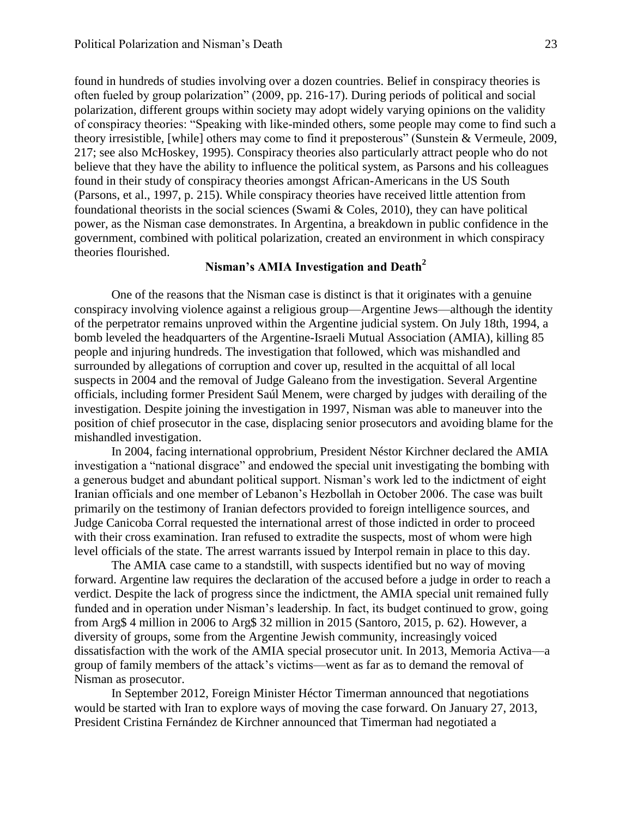found in hundreds of studies involving over a dozen countries. Belief in conspiracy theories is often fueled by group polarization" (2009, pp. 216-17). During periods of political and social polarization, different groups within society may adopt widely varying opinions on the validity of conspiracy theories: "Speaking with like-minded others, some people may come to find such a theory irresistible, [while] others may come to find it preposterous" (Sunstein & Vermeule, 2009, 217; see also McHoskey, 1995). Conspiracy theories also particularly attract people who do not believe that they have the ability to influence the political system, as Parsons and his colleagues found in their study of conspiracy theories amongst African-Americans in the US South (Parsons, et al., 1997, p. 215). While conspiracy theories have received little attention from foundational theorists in the social sciences (Swami & Coles, 2010), they can have political power, as the Nisman case demonstrates. In Argentina, a breakdown in public confidence in the government, combined with political polarization, created an environment in which conspiracy theories flourished.

### **Nisman's AMIA Investigation and Death<sup>2</sup>**

One of the reasons that the Nisman case is distinct is that it originates with a genuine conspiracy involving violence against a religious group—Argentine Jews—although the identity of the perpetrator remains unproved within the Argentine judicial system. On July 18th, 1994, a bomb leveled the headquarters of the Argentine-Israeli Mutual Association (AMIA), killing 85 people and injuring hundreds. The investigation that followed, which was mishandled and surrounded by allegations of corruption and cover up, resulted in the acquittal of all local suspects in 2004 and the removal of Judge Galeano from the investigation. Several Argentine officials, including former President Saúl Menem, were charged by judges with derailing of the investigation. Despite joining the investigation in 1997, Nisman was able to maneuver into the position of chief prosecutor in the case, displacing senior prosecutors and avoiding blame for the mishandled investigation.

In 2004, facing international opprobrium, President Néstor Kirchner declared the AMIA investigation a "national disgrace" and endowed the special unit investigating the bombing with a generous budget and abundant political support. Nisman's work led to the indictment of eight Iranian officials and one member of Lebanon's Hezbollah in October 2006. The case was built primarily on the testimony of Iranian defectors provided to foreign intelligence sources, and Judge Canicoba Corral requested the international arrest of those indicted in order to proceed with their cross examination. Iran refused to extradite the suspects, most of whom were high level officials of the state. The arrest warrants issued by Interpol remain in place to this day.

The AMIA case came to a standstill, with suspects identified but no way of moving forward. Argentine law requires the declaration of the accused before a judge in order to reach a verdict. Despite the lack of progress since the indictment, the AMIA special unit remained fully funded and in operation under Nisman's leadership. In fact, its budget continued to grow, going from Arg\$ 4 million in 2006 to Arg\$ 32 million in 2015 (Santoro, 2015, p. 62). However, a diversity of groups, some from the Argentine Jewish community, increasingly voiced dissatisfaction with the work of the AMIA special prosecutor unit. In 2013, Memoria Activa—a group of family members of the attack's victims—went as far as to demand the removal of Nisman as prosecutor.

In September 2012, Foreign Minister Héctor Timerman announced that negotiations would be started with Iran to explore ways of moving the case forward. On January 27, 2013, President Cristina Fernández de Kirchner announced that Timerman had negotiated a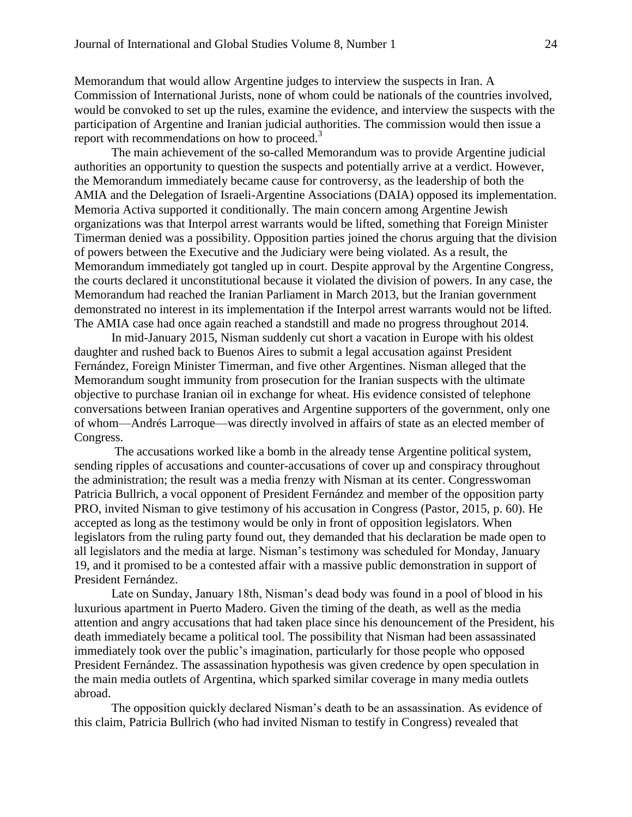Memorandum that would allow Argentine judges to interview the suspects in Iran. A Commission of International Jurists, none of whom could be nationals of the countries involved, would be convoked to set up the rules, examine the evidence, and interview the suspects with the participation of Argentine and Iranian judicial authorities. The commission would then issue a report with recommendations on how to proceed. $3$ 

The main achievement of the so-called Memorandum was to provide Argentine judicial authorities an opportunity to question the suspects and potentially arrive at a verdict. However, the Memorandum immediately became cause for controversy, as the leadership of both the AMIA and the Delegation of Israeli-Argentine Associations (DAIA) opposed its implementation. Memoria Activa supported it conditionally. The main concern among Argentine Jewish organizations was that Interpol arrest warrants would be lifted, something that Foreign Minister Timerman denied was a possibility. Opposition parties joined the chorus arguing that the division of powers between the Executive and the Judiciary were being violated. As a result, the Memorandum immediately got tangled up in court. Despite approval by the Argentine Congress, the courts declared it unconstitutional because it violated the division of powers. In any case, the Memorandum had reached the Iranian Parliament in March 2013, but the Iranian government demonstrated no interest in its implementation if the Interpol arrest warrants would not be lifted. The AMIA case had once again reached a standstill and made no progress throughout 2014.

In mid-January 2015, Nisman suddenly cut short a vacation in Europe with his oldest daughter and rushed back to Buenos Aires to submit a legal accusation against President Fernández, Foreign Minister Timerman, and five other Argentines. Nisman alleged that the Memorandum sought immunity from prosecution for the Iranian suspects with the ultimate objective to purchase Iranian oil in exchange for wheat. His evidence consisted of telephone conversations between Iranian operatives and Argentine supporters of the government, only one of whom—Andrés Larroque—was directly involved in affairs of state as an elected member of Congress.

The accusations worked like a bomb in the already tense Argentine political system, sending ripples of accusations and counter-accusations of cover up and conspiracy throughout the administration; the result was a media frenzy with Nisman at its center. Congresswoman Patricia Bullrich, a vocal opponent of President Fernández and member of the opposition party PRO, invited Nisman to give testimony of his accusation in Congress (Pastor, 2015, p. 60). He accepted as long as the testimony would be only in front of opposition legislators. When legislators from the ruling party found out, they demanded that his declaration be made open to all legislators and the media at large. Nisman's testimony was scheduled for Monday, January 19, and it promised to be a contested affair with a massive public demonstration in support of President Fernández.

Late on Sunday, January 18th, Nisman's dead body was found in a pool of blood in his luxurious apartment in Puerto Madero. Given the timing of the death, as well as the media attention and angry accusations that had taken place since his denouncement of the President, his death immediately became a political tool. The possibility that Nisman had been assassinated immediately took over the public's imagination, particularly for those people who opposed President Fernández. The assassination hypothesis was given credence by open speculation in the main media outlets of Argentina, which sparked similar coverage in many media outlets abroad.

The opposition quickly declared Nisman's death to be an assassination. As evidence of this claim, Patricia Bullrich (who had invited Nisman to testify in Congress) revealed that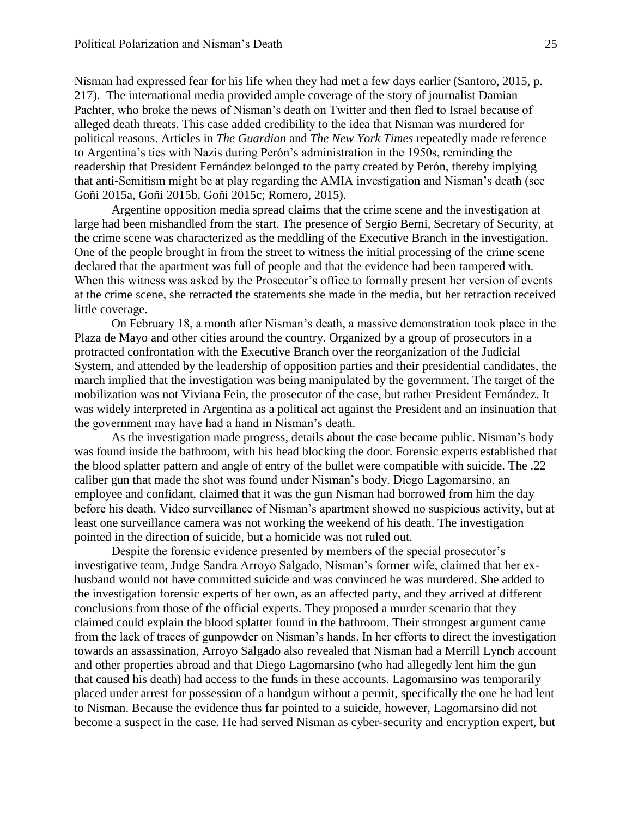Nisman had expressed fear for his life when they had met a few days earlier (Santoro, 2015, p. 217). The international media provided ample coverage of the story of journalist Damian Pachter, who broke the news of Nisman's death on Twitter and then fled to Israel because of alleged death threats. This case added credibility to the idea that Nisman was murdered for political reasons. Articles in *The Guardian* and *The New York Times* repeatedly made reference to Argentina's ties with Nazis during Perón's administration in the 1950s, reminding the readership that President Fernández belonged to the party created by Perón, thereby implying that anti-Semitism might be at play regarding the AMIA investigation and Nisman's death (see Goñi 2015a, Goñi 2015b, Goñi 2015c; Romero, 2015).

Argentine opposition media spread claims that the crime scene and the investigation at large had been mishandled from the start. The presence of Sergio Berni, Secretary of Security, at the crime scene was characterized as the meddling of the Executive Branch in the investigation. One of the people brought in from the street to witness the initial processing of the crime scene declared that the apartment was full of people and that the evidence had been tampered with. When this witness was asked by the Prosecutor's office to formally present her version of events at the crime scene, she retracted the statements she made in the media, but her retraction received little coverage.

On February 18, a month after Nisman's death, a massive demonstration took place in the Plaza de Mayo and other cities around the country. Organized by a group of prosecutors in a protracted confrontation with the Executive Branch over the reorganization of the Judicial System, and attended by the leadership of opposition parties and their presidential candidates, the march implied that the investigation was being manipulated by the government. The target of the mobilization was not Viviana Fein, the prosecutor of the case, but rather President Fernández. It was widely interpreted in Argentina as a political act against the President and an insinuation that the government may have had a hand in Nisman's death.

As the investigation made progress, details about the case became public. Nisman's body was found inside the bathroom, with his head blocking the door. Forensic experts established that the blood splatter pattern and angle of entry of the bullet were compatible with suicide. The .22 caliber gun that made the shot was found under Nisman's body. Diego Lagomarsino, an employee and confidant, claimed that it was the gun Nisman had borrowed from him the day before his death. Video surveillance of Nisman's apartment showed no suspicious activity, but at least one surveillance camera was not working the weekend of his death. The investigation pointed in the direction of suicide, but a homicide was not ruled out.

Despite the forensic evidence presented by members of the special prosecutor's investigative team, Judge Sandra Arroyo Salgado, Nisman's former wife, claimed that her exhusband would not have committed suicide and was convinced he was murdered. She added to the investigation forensic experts of her own, as an affected party, and they arrived at different conclusions from those of the official experts. They proposed a murder scenario that they claimed could explain the blood splatter found in the bathroom. Their strongest argument came from the lack of traces of gunpowder on Nisman's hands. In her efforts to direct the investigation towards an assassination, Arroyo Salgado also revealed that Nisman had a Merrill Lynch account and other properties abroad and that Diego Lagomarsino (who had allegedly lent him the gun that caused his death) had access to the funds in these accounts. Lagomarsino was temporarily placed under arrest for possession of a handgun without a permit, specifically the one he had lent to Nisman. Because the evidence thus far pointed to a suicide, however, Lagomarsino did not become a suspect in the case. He had served Nisman as cyber-security and encryption expert, but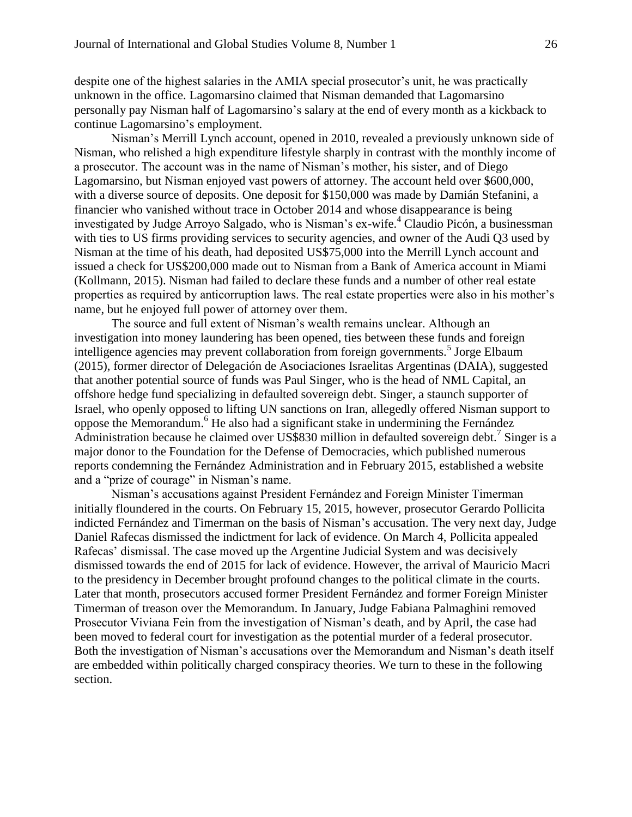despite one of the highest salaries in the AMIA special prosecutor's unit, he was practically unknown in the office. Lagomarsino claimed that Nisman demanded that Lagomarsino personally pay Nisman half of Lagomarsino's salary at the end of every month as a kickback to continue Lagomarsino's employment.

Nisman's Merrill Lynch account, opened in 2010, revealed a previously unknown side of Nisman, who relished a high expenditure lifestyle sharply in contrast with the monthly income of a prosecutor. The account was in the name of Nisman's mother, his sister, and of Diego Lagomarsino, but Nisman enjoyed vast powers of attorney. The account held over \$600,000, with a diverse source of deposits. One deposit for \$150,000 was made by Damián Stefanini, a financier who vanished without trace in October 2014 and whose disappearance is being investigated by Judge Arroyo Salgado, who is Nisman's ex-wife.<sup>4</sup> Claudio Picón, a businessman with ties to US firms providing services to security agencies, and owner of the Audi Q3 used by Nisman at the time of his death, had deposited US\$75,000 into the Merrill Lynch account and issued a check for US\$200,000 made out to Nisman from a Bank of America account in Miami (Kollmann, 2015). Nisman had failed to declare these funds and a number of other real estate properties as required by anticorruption laws. The real estate properties were also in his mother's name, but he enjoyed full power of attorney over them.

The source and full extent of Nisman's wealth remains unclear. Although an investigation into money laundering has been opened, ties between these funds and foreign intelligence agencies may prevent collaboration from foreign governments.<sup>5</sup> Jorge Elbaum (2015), former director of Delegación de Asociaciones Israelitas Argentinas (DAIA), suggested that another potential source of funds was Paul Singer, who is the head of NML Capital, an offshore hedge fund specializing in defaulted sovereign debt. Singer, a staunch supporter of Israel, who openly opposed to lifting UN sanctions on Iran, allegedly offered Nisman support to oppose the Memorandum.<sup>6</sup> He also had a significant stake in undermining the Fernández Administration because he claimed over US\$830 million in defaulted sovereign debt.<sup>7</sup> Singer is a major donor to the Foundation for the Defense of Democracies, which published numerous reports condemning the Fernández Administration and in February 2015, established a website and a "prize of courage" in Nisman's name.

Nisman's accusations against President Fernández and Foreign Minister Timerman initially floundered in the courts. On February 15, 2015, however, prosecutor Gerardo Pollicita indicted Fernández and Timerman on the basis of Nisman's accusation. The very next day, Judge Daniel Rafecas dismissed the indictment for lack of evidence. On March 4, Pollicita appealed Rafecas' dismissal. The case moved up the Argentine Judicial System and was decisively dismissed towards the end of 2015 for lack of evidence. However, the arrival of Mauricio Macri to the presidency in December brought profound changes to the political climate in the courts. Later that month, prosecutors accused former President Fernández and former Foreign Minister Timerman of treason over the Memorandum. In January, Judge Fabiana Palmaghini removed Prosecutor Viviana Fein from the investigation of Nisman's death, and by April, the case had been moved to federal court for investigation as the potential murder of a federal prosecutor. Both the investigation of Nisman's accusations over the Memorandum and Nisman's death itself are embedded within politically charged conspiracy theories. We turn to these in the following section.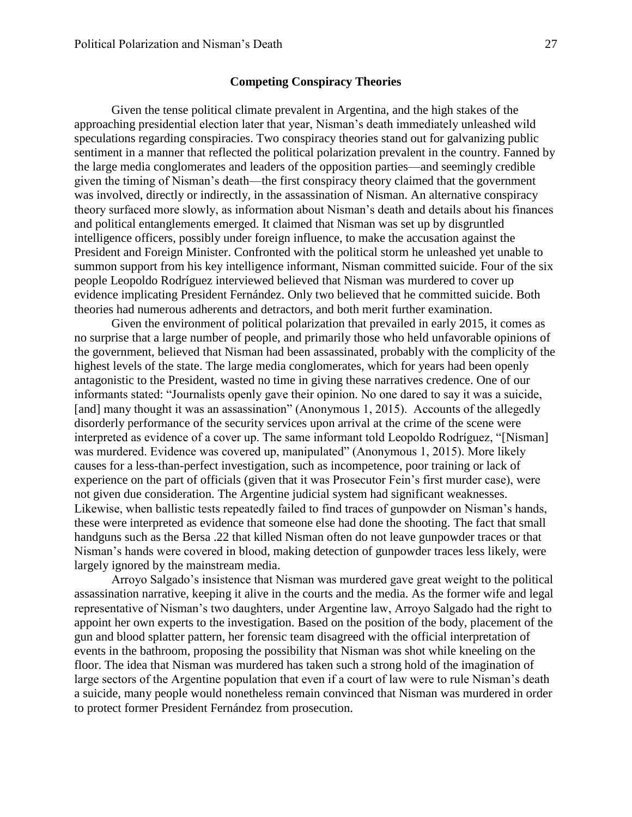#### **Competing Conspiracy Theories**

Given the tense political climate prevalent in Argentina, and the high stakes of the approaching presidential election later that year, Nisman's death immediately unleashed wild speculations regarding conspiracies. Two conspiracy theories stand out for galvanizing public sentiment in a manner that reflected the political polarization prevalent in the country. Fanned by the large media conglomerates and leaders of the opposition parties—and seemingly credible given the timing of Nisman's death—the first conspiracy theory claimed that the government was involved, directly or indirectly, in the assassination of Nisman. An alternative conspiracy theory surfaced more slowly, as information about Nisman's death and details about his finances and political entanglements emerged. It claimed that Nisman was set up by disgruntled intelligence officers, possibly under foreign influence, to make the accusation against the President and Foreign Minister. Confronted with the political storm he unleashed yet unable to summon support from his key intelligence informant, Nisman committed suicide. Four of the six people Leopoldo Rodríguez interviewed believed that Nisman was murdered to cover up evidence implicating President Fernández. Only two believed that he committed suicide. Both theories had numerous adherents and detractors, and both merit further examination.

Given the environment of political polarization that prevailed in early 2015, it comes as no surprise that a large number of people, and primarily those who held unfavorable opinions of the government, believed that Nisman had been assassinated, probably with the complicity of the highest levels of the state. The large media conglomerates, which for years had been openly antagonistic to the President, wasted no time in giving these narratives credence. One of our informants stated: "Journalists openly gave their opinion. No one dared to say it was a suicide, [and] many thought it was an assassination" (Anonymous 1, 2015). Accounts of the allegedly disorderly performance of the security services upon arrival at the crime of the scene were interpreted as evidence of a cover up. The same informant told Leopoldo Rodríguez, "[Nisman] was murdered. Evidence was covered up, manipulated" (Anonymous 1, 2015). More likely causes for a less-than-perfect investigation, such as incompetence, poor training or lack of experience on the part of officials (given that it was Prosecutor Fein's first murder case), were not given due consideration. The Argentine judicial system had significant weaknesses. Likewise, when ballistic tests repeatedly failed to find traces of gunpowder on Nisman's hands, these were interpreted as evidence that someone else had done the shooting. The fact that small handguns such as the Bersa .22 that killed Nisman often do not leave gunpowder traces or that Nisman's hands were covered in blood, making detection of gunpowder traces less likely, were largely ignored by the mainstream media.

Arroyo Salgado's insistence that Nisman was murdered gave great weight to the political assassination narrative, keeping it alive in the courts and the media. As the former wife and legal representative of Nisman's two daughters, under Argentine law, Arroyo Salgado had the right to appoint her own experts to the investigation. Based on the position of the body, placement of the gun and blood splatter pattern, her forensic team disagreed with the official interpretation of events in the bathroom, proposing the possibility that Nisman was shot while kneeling on the floor. The idea that Nisman was murdered has taken such a strong hold of the imagination of large sectors of the Argentine population that even if a court of law were to rule Nisman's death a suicide, many people would nonetheless remain convinced that Nisman was murdered in order to protect former President Fernández from prosecution.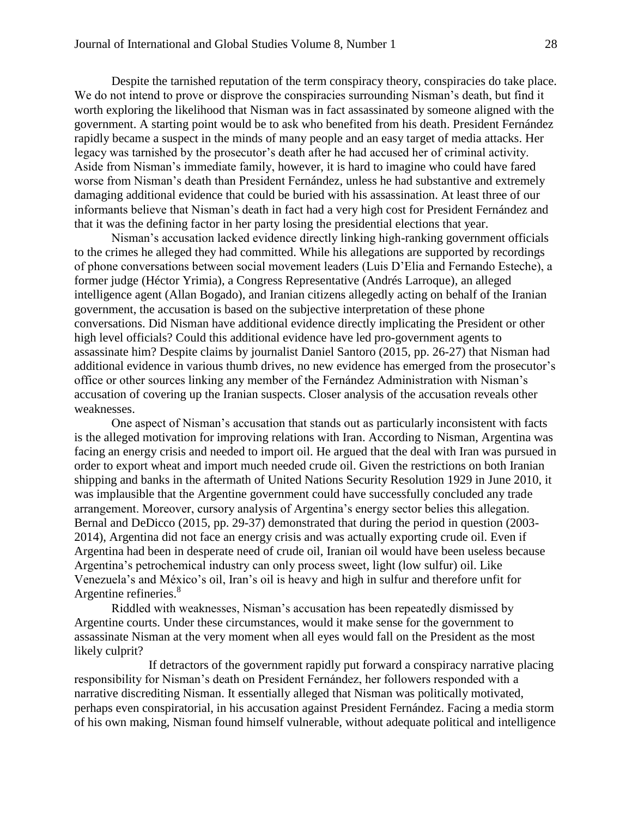Despite the tarnished reputation of the term conspiracy theory, conspiracies do take place. We do not intend to prove or disprove the conspiracies surrounding Nisman's death, but find it worth exploring the likelihood that Nisman was in fact assassinated by someone aligned with the government. A starting point would be to ask who benefited from his death. President Fernández rapidly became a suspect in the minds of many people and an easy target of media attacks. Her legacy was tarnished by the prosecutor's death after he had accused her of criminal activity. Aside from Nisman's immediate family, however, it is hard to imagine who could have fared worse from Nisman's death than President Fernández, unless he had substantive and extremely damaging additional evidence that could be buried with his assassination. At least three of our informants believe that Nisman's death in fact had a very high cost for President Fernández and that it was the defining factor in her party losing the presidential elections that year.

Nisman's accusation lacked evidence directly linking high-ranking government officials to the crimes he alleged they had committed. While his allegations are supported by recordings of phone conversations between social movement leaders (Luis D'Elia and Fernando Esteche), a former judge (Héctor Yrimia), a Congress Representative (Andrés Larroque), an alleged intelligence agent (Allan Bogado), and Iranian citizens allegedly acting on behalf of the Iranian government, the accusation is based on the subjective interpretation of these phone conversations. Did Nisman have additional evidence directly implicating the President or other high level officials? Could this additional evidence have led pro-government agents to assassinate him? Despite claims by journalist Daniel Santoro (2015, pp. 26-27) that Nisman had additional evidence in various thumb drives, no new evidence has emerged from the prosecutor's office or other sources linking any member of the Fernández Administration with Nisman's accusation of covering up the Iranian suspects. Closer analysis of the accusation reveals other weaknesses.

One aspect of Nisman's accusation that stands out as particularly inconsistent with facts is the alleged motivation for improving relations with Iran. According to Nisman, Argentina was facing an energy crisis and needed to import oil. He argued that the deal with Iran was pursued in order to export wheat and import much needed crude oil. Given the restrictions on both Iranian shipping and banks in the aftermath of United Nations Security Resolution 1929 in June 2010, it was implausible that the Argentine government could have successfully concluded any trade arrangement. Moreover, cursory analysis of Argentina's energy sector belies this allegation. Bernal and DeDicco (2015, pp. 29-37) demonstrated that during the period in question (2003- 2014), Argentina did not face an energy crisis and was actually exporting crude oil. Even if Argentina had been in desperate need of crude oil, Iranian oil would have been useless because Argentina's petrochemical industry can only process sweet, light (low sulfur) oil. Like Venezuela's and México's oil, Iran's oil is heavy and high in sulfur and therefore unfit for Argentine refineries.<sup>8</sup>

Riddled with weaknesses, Nisman's accusation has been repeatedly dismissed by Argentine courts. Under these circumstances, would it make sense for the government to assassinate Nisman at the very moment when all eyes would fall on the President as the most likely culprit?

If detractors of the government rapidly put forward a conspiracy narrative placing responsibility for Nisman's death on President Fernández, her followers responded with a narrative discrediting Nisman. It essentially alleged that Nisman was politically motivated, perhaps even conspiratorial, in his accusation against President Fernández. Facing a media storm of his own making, Nisman found himself vulnerable, without adequate political and intelligence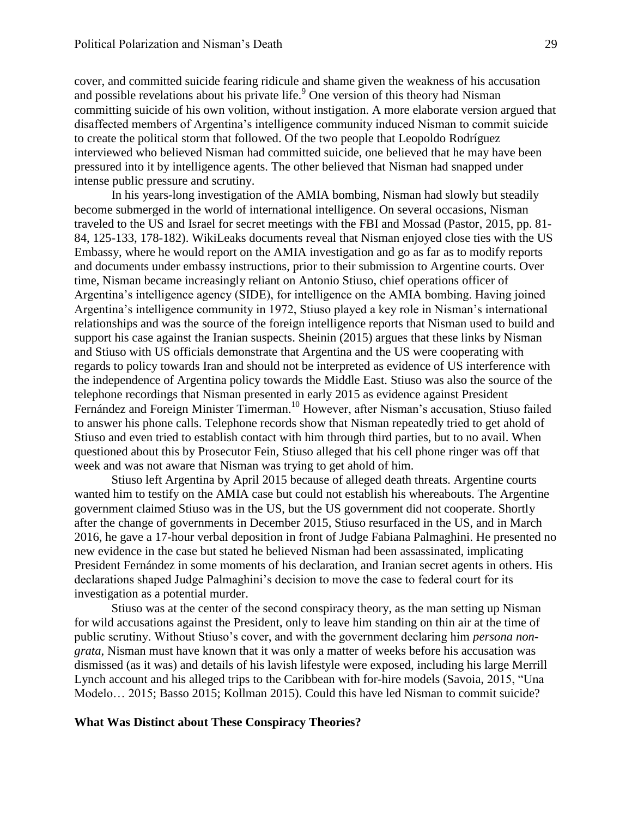cover, and committed suicide fearing ridicule and shame given the weakness of his accusation and possible revelations about his private life.<sup>9</sup> One version of this theory had Nisman committing suicide of his own volition, without instigation. A more elaborate version argued that disaffected members of Argentina's intelligence community induced Nisman to commit suicide to create the political storm that followed. Of the two people that Leopoldo Rodríguez interviewed who believed Nisman had committed suicide, one believed that he may have been pressured into it by intelligence agents. The other believed that Nisman had snapped under intense public pressure and scrutiny.

In his years-long investigation of the AMIA bombing, Nisman had slowly but steadily become submerged in the world of international intelligence. On several occasions, Nisman traveled to the US and Israel for secret meetings with the FBI and Mossad (Pastor, 2015, pp. 81- 84, 125-133, 178-182). WikiLeaks documents reveal that Nisman enjoyed close ties with the US Embassy, where he would report on the AMIA investigation and go as far as to modify reports and documents under embassy instructions, prior to their submission to Argentine courts. Over time, Nisman became increasingly reliant on Antonio Stiuso, chief operations officer of Argentina's intelligence agency (SIDE), for intelligence on the AMIA bombing. Having joined Argentina's intelligence community in 1972, Stiuso played a key role in Nisman's international relationships and was the source of the foreign intelligence reports that Nisman used to build and support his case against the Iranian suspects. Sheinin (2015) argues that these links by Nisman and Stiuso with US officials demonstrate that Argentina and the US were cooperating with regards to policy towards Iran and should not be interpreted as evidence of US interference with the independence of Argentina policy towards the Middle East. Stiuso was also the source of the telephone recordings that Nisman presented in early 2015 as evidence against President Fernández and Foreign Minister Timerman.<sup>10</sup> However, after Nisman's accusation, Stiuso failed to answer his phone calls. Telephone records show that Nisman repeatedly tried to get ahold of Stiuso and even tried to establish contact with him through third parties, but to no avail. When questioned about this by Prosecutor Fein, Stiuso alleged that his cell phone ringer was off that week and was not aware that Nisman was trying to get ahold of him.

Stiuso left Argentina by April 2015 because of alleged death threats. Argentine courts wanted him to testify on the AMIA case but could not establish his whereabouts. The Argentine government claimed Stiuso was in the US, but the US government did not cooperate. Shortly after the change of governments in December 2015, Stiuso resurfaced in the US, and in March 2016, he gave a 17-hour verbal deposition in front of Judge Fabiana Palmaghini. He presented no new evidence in the case but stated he believed Nisman had been assassinated, implicating President Fernández in some moments of his declaration, and Iranian secret agents in others. His declarations shaped Judge Palmaghini's decision to move the case to federal court for its investigation as a potential murder.

Stiuso was at the center of the second conspiracy theory, as the man setting up Nisman for wild accusations against the President, only to leave him standing on thin air at the time of public scrutiny. Without Stiuso's cover, and with the government declaring him *persona nongrata*, Nisman must have known that it was only a matter of weeks before his accusation was dismissed (as it was) and details of his lavish lifestyle were exposed, including his large Merrill Lynch account and his alleged trips to the Caribbean with for-hire models (Savoia, 2015, "Una Modelo… 2015; Basso 2015; Kollman 2015). Could this have led Nisman to commit suicide?

#### **What Was Distinct about These Conspiracy Theories?**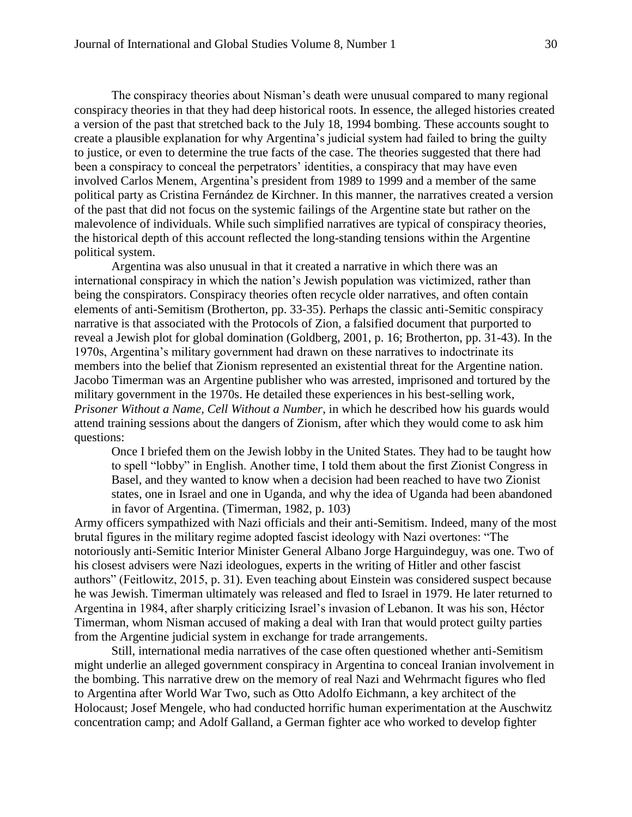The conspiracy theories about Nisman's death were unusual compared to many regional conspiracy theories in that they had deep historical roots. In essence, the alleged histories created a version of the past that stretched back to the July 18, 1994 bombing. These accounts sought to create a plausible explanation for why Argentina's judicial system had failed to bring the guilty to justice, or even to determine the true facts of the case. The theories suggested that there had been a conspiracy to conceal the perpetrators' identities, a conspiracy that may have even involved Carlos Menem, Argentina's president from 1989 to 1999 and a member of the same political party as Cristina Fernández de Kirchner. In this manner, the narratives created a version of the past that did not focus on the systemic failings of the Argentine state but rather on the malevolence of individuals. While such simplified narratives are typical of conspiracy theories, the historical depth of this account reflected the long-standing tensions within the Argentine political system.

Argentina was also unusual in that it created a narrative in which there was an international conspiracy in which the nation's Jewish population was victimized, rather than being the conspirators. Conspiracy theories often recycle older narratives, and often contain elements of anti-Semitism (Brotherton, pp. 33-35). Perhaps the classic anti-Semitic conspiracy narrative is that associated with the Protocols of Zion, a falsified document that purported to reveal a Jewish plot for global domination (Goldberg, 2001, p. 16; Brotherton, pp. 31-43). In the 1970s, Argentina's military government had drawn on these narratives to indoctrinate its members into the belief that Zionism represented an existential threat for the Argentine nation. Jacobo Timerman was an Argentine publisher who was arrested, imprisoned and tortured by the military government in the 1970s. He detailed these experiences in his best-selling work, *Prisoner Without a Name, Cell Without a Number*, in which he described how his guards would attend training sessions about the dangers of Zionism, after which they would come to ask him questions:

Once I briefed them on the Jewish lobby in the United States. They had to be taught how to spell "lobby" in English. Another time, I told them about the first Zionist Congress in Basel, and they wanted to know when a decision had been reached to have two Zionist states, one in Israel and one in Uganda, and why the idea of Uganda had been abandoned in favor of Argentina. (Timerman, 1982, p. 103)

Army officers sympathized with Nazi officials and their anti-Semitism. Indeed, many of the most brutal figures in the military regime adopted fascist ideology with Nazi overtones: "The notoriously anti-Semitic Interior Minister General Albano Jorge Harguindeguy, was one. Two of his closest advisers were Nazi ideologues, experts in the writing of Hitler and other fascist authors" (Feitlowitz, 2015, p. 31). Even teaching about Einstein was considered suspect because he was Jewish. Timerman ultimately was released and fled to Israel in 1979. He later returned to Argentina in 1984, after sharply criticizing Israel's invasion of Lebanon. It was his son, Héctor Timerman, whom Nisman accused of making a deal with Iran that would protect guilty parties from the Argentine judicial system in exchange for trade arrangements.

Still, international media narratives of the case often questioned whether anti-Semitism might underlie an alleged government conspiracy in Argentina to conceal Iranian involvement in the bombing. This narrative drew on the memory of real Nazi and Wehrmacht figures who fled to Argentina after World War Two, such as Otto Adolfo Eichmann, a key architect of the Holocaust; Josef Mengele, who had conducted horrific human experimentation at the Auschwitz concentration camp; and Adolf Galland, a German fighter ace who worked to develop fighter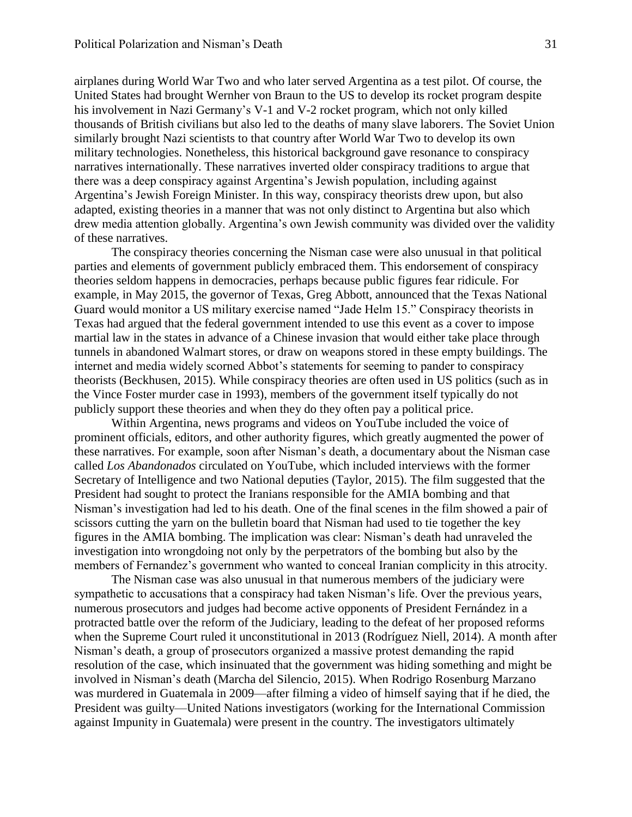airplanes during World War Two and who later served Argentina as a test pilot. Of course, the United States had brought Wernher von Braun to the US to develop its rocket program despite his involvement in Nazi Germany's V-1 and V-2 rocket program, which not only killed thousands of British civilians but also led to the deaths of many slave laborers. The Soviet Union similarly brought Nazi scientists to that country after World War Two to develop its own military technologies. Nonetheless, this historical background gave resonance to conspiracy narratives internationally. These narratives inverted older conspiracy traditions to argue that there was a deep conspiracy against Argentina's Jewish population, including against Argentina's Jewish Foreign Minister. In this way, conspiracy theorists drew upon, but also adapted, existing theories in a manner that was not only distinct to Argentina but also which drew media attention globally. Argentina's own Jewish community was divided over the validity of these narratives.

The conspiracy theories concerning the Nisman case were also unusual in that political parties and elements of government publicly embraced them. This endorsement of conspiracy theories seldom happens in democracies, perhaps because public figures fear ridicule. For example, in May 2015, the governor of Texas, Greg Abbott, announced that the Texas National Guard would monitor a US military exercise named "Jade Helm 15." Conspiracy theorists in Texas had argued that the federal government intended to use this event as a cover to impose martial law in the states in advance of a Chinese invasion that would either take place through tunnels in abandoned Walmart stores, or draw on weapons stored in these empty buildings. The internet and media widely scorned Abbot's statements for seeming to pander to conspiracy theorists (Beckhusen, 2015). While conspiracy theories are often used in US politics (such as in the Vince Foster murder case in 1993), members of the government itself typically do not publicly support these theories and when they do they often pay a political price.

Within Argentina, news programs and videos on YouTube included the voice of prominent officials, editors, and other authority figures, which greatly augmented the power of these narratives. For example, soon after Nisman's death, a documentary about the Nisman case called *Los Abandonados* circulated on YouTube, which included interviews with the former Secretary of Intelligence and two National deputies (Taylor, 2015). The film suggested that the President had sought to protect the Iranians responsible for the AMIA bombing and that Nisman's investigation had led to his death. One of the final scenes in the film showed a pair of scissors cutting the yarn on the bulletin board that Nisman had used to tie together the key figures in the AMIA bombing. The implication was clear: Nisman's death had unraveled the investigation into wrongdoing not only by the perpetrators of the bombing but also by the members of Fernandez's government who wanted to conceal Iranian complicity in this atrocity.

The Nisman case was also unusual in that numerous members of the judiciary were sympathetic to accusations that a conspiracy had taken Nisman's life. Over the previous years, numerous prosecutors and judges had become active opponents of President Fernández in a protracted battle over the reform of the Judiciary, leading to the defeat of her proposed reforms when the Supreme Court ruled it unconstitutional in 2013 (Rodríguez Niell, 2014). A month after Nisman's death, a group of prosecutors organized a massive protest demanding the rapid resolution of the case, which insinuated that the government was hiding something and might be involved in Nisman's death (Marcha del Silencio, 2015). When Rodrigo Rosenburg Marzano was murdered in Guatemala in 2009—after filming a video of himself saying that if he died, the President was guilty—United Nations investigators (working for the International Commission against Impunity in Guatemala) were present in the country. The investigators ultimately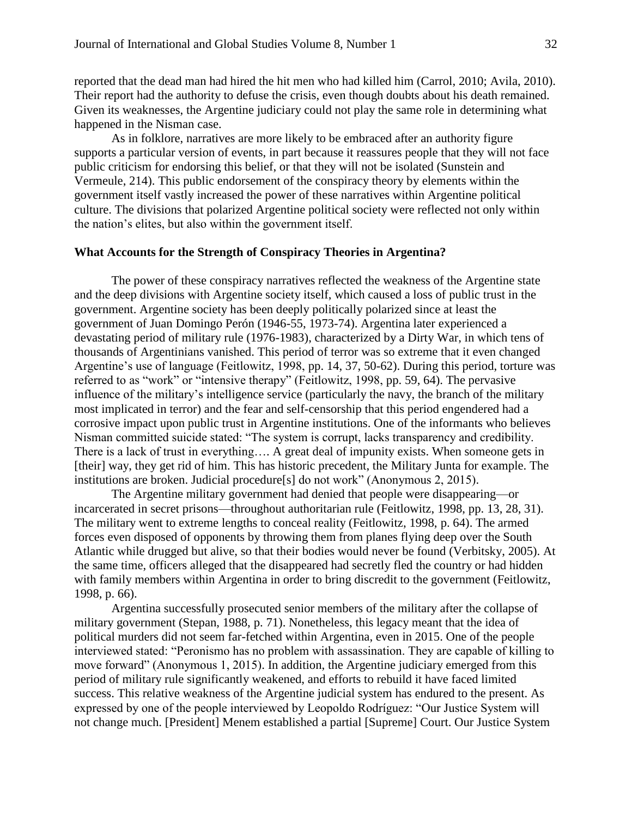reported that the dead man had hired the hit men who had killed him (Carrol, 2010; Avila, 2010). Their report had the authority to defuse the crisis, even though doubts about his death remained. Given its weaknesses, the Argentine judiciary could not play the same role in determining what happened in the Nisman case.

As in folklore, narratives are more likely to be embraced after an authority figure supports a particular version of events, in part because it reassures people that they will not face public criticism for endorsing this belief, or that they will not be isolated (Sunstein and Vermeule, 214). This public endorsement of the conspiracy theory by elements within the government itself vastly increased the power of these narratives within Argentine political culture. The divisions that polarized Argentine political society were reflected not only within the nation's elites, but also within the government itself.

#### **What Accounts for the Strength of Conspiracy Theories in Argentina?**

The power of these conspiracy narratives reflected the weakness of the Argentine state and the deep divisions with Argentine society itself, which caused a loss of public trust in the government. Argentine society has been deeply politically polarized since at least the government of Juan Domingo Perón (1946-55, 1973-74). Argentina later experienced a devastating period of military rule (1976-1983), characterized by a Dirty War, in which tens of thousands of Argentinians vanished. This period of terror was so extreme that it even changed Argentine's use of language (Feitlowitz, 1998, pp. 14, 37, 50-62). During this period, torture was referred to as "work" or "intensive therapy" (Feitlowitz, 1998, pp. 59, 64). The pervasive influence of the military's intelligence service (particularly the navy, the branch of the military most implicated in terror) and the fear and self-censorship that this period engendered had a corrosive impact upon public trust in Argentine institutions. One of the informants who believes Nisman committed suicide stated: "The system is corrupt, lacks transparency and credibility. There is a lack of trust in everything…. A great deal of impunity exists. When someone gets in [their] way, they get rid of him. This has historic precedent, the Military Junta for example. The institutions are broken. Judicial procedure[s] do not work" (Anonymous 2, 2015).

The Argentine military government had denied that people were disappearing—or incarcerated in secret prisons—throughout authoritarian rule (Feitlowitz, 1998, pp. 13, 28, 31). The military went to extreme lengths to conceal reality (Feitlowitz, 1998, p. 64). The armed forces even disposed of opponents by throwing them from planes flying deep over the South Atlantic while drugged but alive, so that their bodies would never be found (Verbitsky, 2005). At the same time, officers alleged that the disappeared had secretly fled the country or had hidden with family members within Argentina in order to bring discredit to the government (Feitlowitz, 1998, p. 66).

Argentina successfully prosecuted senior members of the military after the collapse of military government (Stepan, 1988, p. 71). Nonetheless, this legacy meant that the idea of political murders did not seem far-fetched within Argentina, even in 2015. One of the people interviewed stated: "Peronismo has no problem with assassination. They are capable of killing to move forward" (Anonymous 1, 2015). In addition, the Argentine judiciary emerged from this period of military rule significantly weakened, and efforts to rebuild it have faced limited success. This relative weakness of the Argentine judicial system has endured to the present. As expressed by one of the people interviewed by Leopoldo Rodríguez: "Our Justice System will not change much. [President] Menem established a partial [Supreme] Court. Our Justice System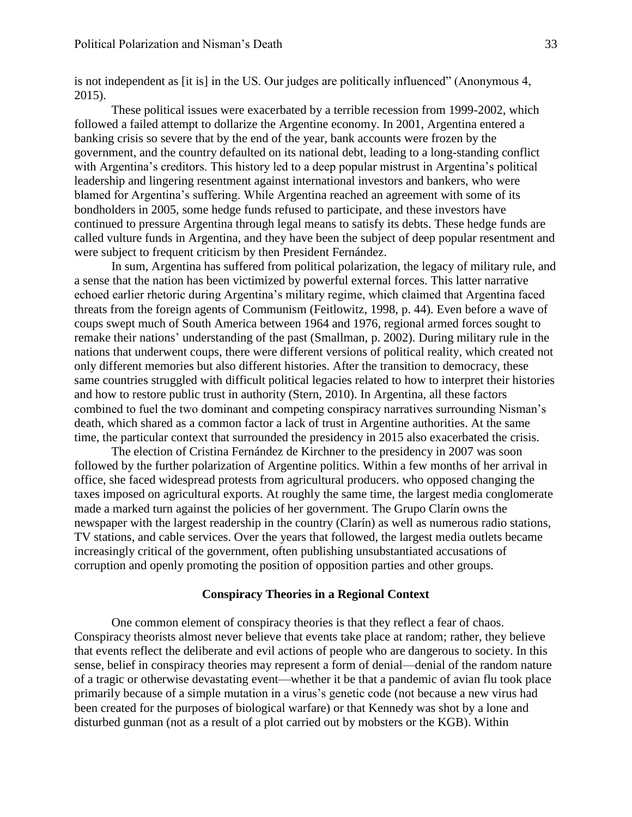is not independent as [it is] in the US. Our judges are politically influenced" (Anonymous 4, 2015).

These political issues were exacerbated by a terrible recession from 1999-2002, which followed a failed attempt to dollarize the Argentine economy. In 2001, Argentina entered a banking crisis so severe that by the end of the year, bank accounts were frozen by the government, and the country defaulted on its national debt, leading to a long-standing conflict with Argentina's creditors. This history led to a deep popular mistrust in Argentina's political leadership and lingering resentment against international investors and bankers, who were blamed for Argentina's suffering. While Argentina reached an agreement with some of its bondholders in 2005, some hedge funds refused to participate, and these investors have continued to pressure Argentina through legal means to satisfy its debts. These hedge funds are called vulture funds in Argentina, and they have been the subject of deep popular resentment and were subject to frequent criticism by then President Fernández.

In sum, Argentina has suffered from political polarization, the legacy of military rule, and a sense that the nation has been victimized by powerful external forces. This latter narrative echoed earlier rhetoric during Argentina's military regime, which claimed that Argentina faced threats from the foreign agents of Communism (Feitlowitz, 1998, p. 44). Even before a wave of coups swept much of South America between 1964 and 1976, regional armed forces sought to remake their nations' understanding of the past (Smallman, p. 2002). During military rule in the nations that underwent coups, there were different versions of political reality, which created not only different memories but also different histories. After the transition to democracy, these same countries struggled with difficult political legacies related to how to interpret their histories and how to restore public trust in authority (Stern, 2010). In Argentina, all these factors combined to fuel the two dominant and competing conspiracy narratives surrounding Nisman's death, which shared as a common factor a lack of trust in Argentine authorities. At the same time, the particular context that surrounded the presidency in 2015 also exacerbated the crisis.

The election of Cristina Fernández de Kirchner to the presidency in 2007 was soon followed by the further polarization of Argentine politics. Within a few months of her arrival in office, she faced widespread protests from agricultural producers. who opposed changing the taxes imposed on agricultural exports. At roughly the same time, the largest media conglomerate made a marked turn against the policies of her government. The Grupo Clarín owns the newspaper with the largest readership in the country (Clarín) as well as numerous radio stations, TV stations, and cable services. Over the years that followed, the largest media outlets became increasingly critical of the government, often publishing unsubstantiated accusations of corruption and openly promoting the position of opposition parties and other groups.

#### **Conspiracy Theories in a Regional Context**

One common element of conspiracy theories is that they reflect a fear of chaos. Conspiracy theorists almost never believe that events take place at random; rather, they believe that events reflect the deliberate and evil actions of people who are dangerous to society. In this sense, belief in conspiracy theories may represent a form of denial—denial of the random nature of a tragic or otherwise devastating event—whether it be that a pandemic of avian flu took place primarily because of a simple mutation in a virus's genetic code (not because a new virus had been created for the purposes of biological warfare) or that Kennedy was shot by a lone and disturbed gunman (not as a result of a plot carried out by mobsters or the KGB). Within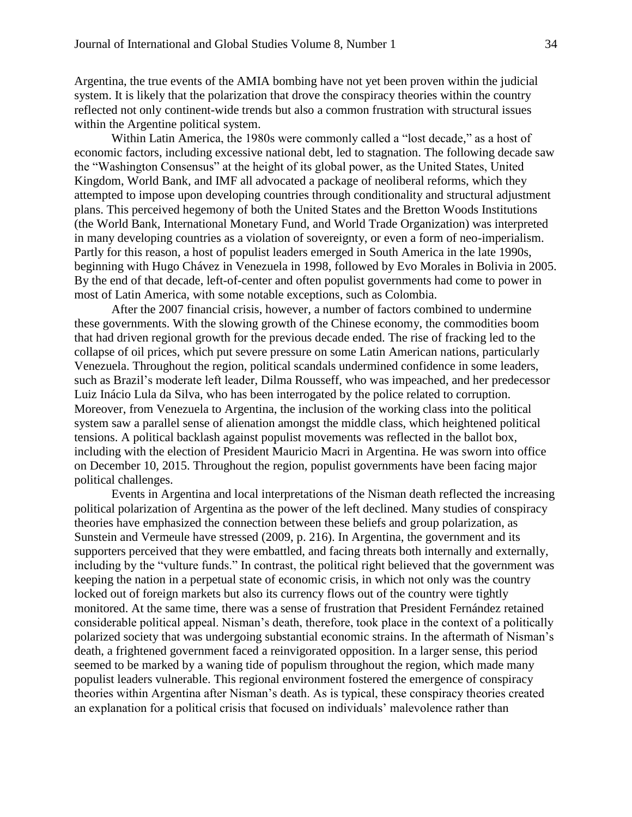Argentina, the true events of the AMIA bombing have not yet been proven within the judicial system. It is likely that the polarization that drove the conspiracy theories within the country reflected not only continent-wide trends but also a common frustration with structural issues within the Argentine political system.

Within Latin America, the 1980s were commonly called a "lost decade," as a host of economic factors, including excessive national debt, led to stagnation. The following decade saw the "Washington Consensus" at the height of its global power, as the United States, United Kingdom, World Bank, and IMF all advocated a package of neoliberal reforms, which they attempted to impose upon developing countries through conditionality and structural adjustment plans. This perceived hegemony of both the United States and the Bretton Woods Institutions (the World Bank, International Monetary Fund, and World Trade Organization) was interpreted in many developing countries as a violation of sovereignty, or even a form of neo-imperialism. Partly for this reason, a host of populist leaders emerged in South America in the late 1990s, beginning with Hugo Chávez in Venezuela in 1998, followed by Evo Morales in Bolivia in 2005. By the end of that decade, left-of-center and often populist governments had come to power in most of Latin America, with some notable exceptions, such as Colombia.

After the 2007 financial crisis, however, a number of factors combined to undermine these governments. With the slowing growth of the Chinese economy, the commodities boom that had driven regional growth for the previous decade ended. The rise of fracking led to the collapse of oil prices, which put severe pressure on some Latin American nations, particularly Venezuela. Throughout the region, political scandals undermined confidence in some leaders, such as Brazil's moderate left leader, Dilma Rousseff, who was impeached, and her predecessor Luiz Inácio Lula da Silva, who has been interrogated by the police related to corruption. Moreover, from Venezuela to Argentina, the inclusion of the working class into the political system saw a parallel sense of alienation amongst the middle class, which heightened political tensions. A political backlash against populist movements was reflected in the ballot box, including with the election of President Mauricio Macri in Argentina. He was sworn into office on December 10, 2015. Throughout the region, populist governments have been facing major political challenges.

Events in Argentina and local interpretations of the Nisman death reflected the increasing political polarization of Argentina as the power of the left declined. Many studies of conspiracy theories have emphasized the connection between these beliefs and group polarization, as Sunstein and Vermeule have stressed (2009, p. 216). In Argentina, the government and its supporters perceived that they were embattled, and facing threats both internally and externally, including by the "vulture funds." In contrast, the political right believed that the government was keeping the nation in a perpetual state of economic crisis, in which not only was the country locked out of foreign markets but also its currency flows out of the country were tightly monitored. At the same time, there was a sense of frustration that President Fernández retained considerable political appeal. Nisman's death, therefore, took place in the context of a politically polarized society that was undergoing substantial economic strains. In the aftermath of Nisman's death, a frightened government faced a reinvigorated opposition. In a larger sense, this period seemed to be marked by a waning tide of populism throughout the region, which made many populist leaders vulnerable. This regional environment fostered the emergence of conspiracy theories within Argentina after Nisman's death. As is typical, these conspiracy theories created an explanation for a political crisis that focused on individuals' malevolence rather than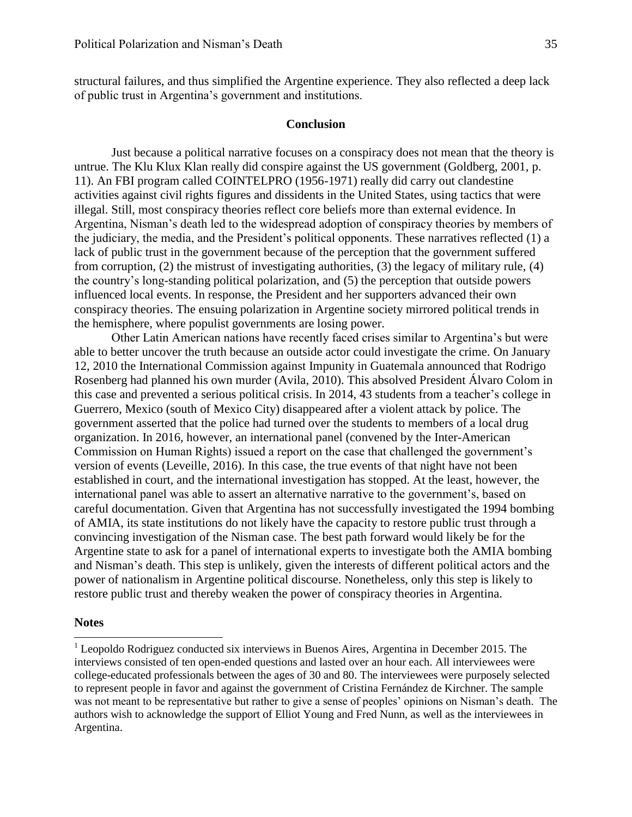structural failures, and thus simplified the Argentine experience. They also reflected a deep lack of public trust in Argentina's government and institutions.

#### **Conclusion**

Just because a political narrative focuses on a conspiracy does not mean that the theory is untrue. The Klu Klux Klan really did conspire against the US government (Goldberg, 2001, p. 11). An FBI program called COINTELPRO (1956-1971) really did carry out clandestine activities against civil rights figures and dissidents in the United States, using tactics that were illegal. Still, most conspiracy theories reflect core beliefs more than external evidence. In Argentina, Nisman's death led to the widespread adoption of conspiracy theories by members of the judiciary, the media, and the President's political opponents. These narratives reflected (1) a lack of public trust in the government because of the perception that the government suffered from corruption, (2) the mistrust of investigating authorities, (3) the legacy of military rule, (4) the country's long-standing political polarization, and (5) the perception that outside powers influenced local events. In response, the President and her supporters advanced their own conspiracy theories. The ensuing polarization in Argentine society mirrored political trends in the hemisphere, where populist governments are losing power.

Other Latin American nations have recently faced crises similar to Argentina's but were able to better uncover the truth because an outside actor could investigate the crime. On January 12, 2010 the International Commission against Impunity in Guatemala announced that Rodrigo Rosenberg had planned his own murder (Avila, 2010). This absolved President Álvaro Colom in this case and prevented a serious political crisis. In 2014, 43 students from a teacher's college in Guerrero, Mexico (south of Mexico City) disappeared after a violent attack by police. The government asserted that the police had turned over the students to members of a local drug organization. In 2016, however, an international panel (convened by the Inter-American Commission on Human Rights) issued a report on the case that challenged the government's version of events (Leveille, 2016). In this case, the true events of that night have not been established in court, and the international investigation has stopped. At the least, however, the international panel was able to assert an alternative narrative to the government's, based on careful documentation. Given that Argentina has not successfully investigated the 1994 bombing of AMIA, its state institutions do not likely have the capacity to restore public trust through a convincing investigation of the Nisman case. The best path forward would likely be for the Argentine state to ask for a panel of international experts to investigate both the AMIA bombing and Nisman's death. This step is unlikely, given the interests of different political actors and the power of nationalism in Argentine political discourse. Nonetheless, only this step is likely to restore public trust and thereby weaken the power of conspiracy theories in Argentina.

#### **Notes**

 $\overline{a}$ 

 $1$  Leopoldo Rodriguez conducted six interviews in Buenos Aires, Argentina in December 2015. The interviews consisted of ten open-ended questions and lasted over an hour each. All interviewees were college-educated professionals between the ages of 30 and 80. The interviewees were purposely selected to represent people in favor and against the government of Cristina Fernández de Kirchner. The sample was not meant to be representative but rather to give a sense of peoples' opinions on Nisman's death. The authors wish to acknowledge the support of Elliot Young and Fred Nunn, as well as the interviewees in Argentina.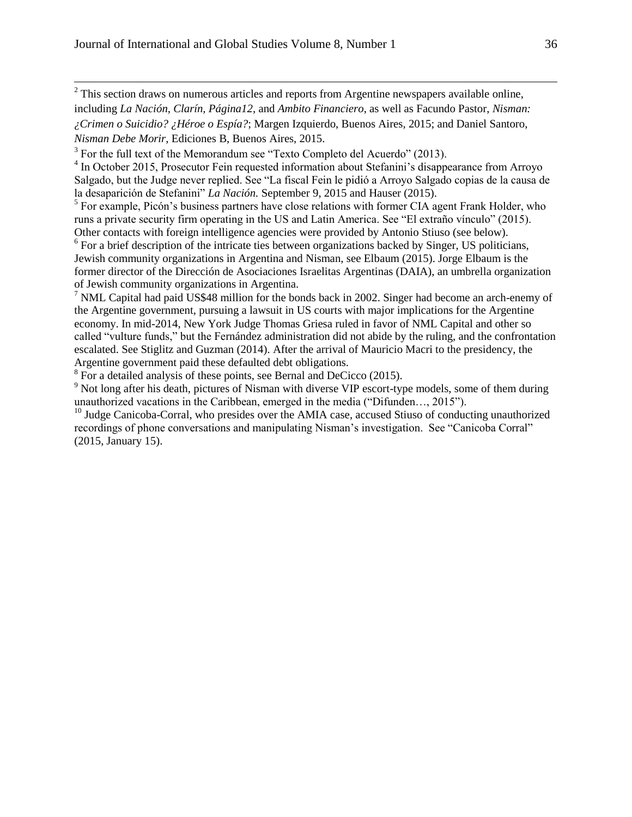$2^2$  This section draws on numerous articles and reports from Argentine newspapers available online, including *La Nación, Clarín, Página12*, and *Ambito Financiero*, as well as Facundo Pastor, *Nisman: ¿Crimen o Suicidio? ¿Héroe o Espía?*; Margen Izquierdo, Buenos Aires, 2015; and Daniel Santoro, *Nisman Debe Morir*, Ediciones B, Buenos Aires, 2015.

<sup>4</sup> In October 2015, Prosecutor Fein requested information about Stefanini's disappearance from Arroyo Salgado, but the Judge never replied. See "La fiscal Fein le pidió a Arroyo Salgado copias de la causa de la desaparición de Stefanini" *La Nación.* September 9, 2015 and Hauser (2015).

<sup>5</sup> For example, Picón's business partners have close relations with former CIA agent Frank Holder, who runs a private security firm operating in the US and Latin America. See "El extraño vínculo" (2015). Other contacts with foreign intelligence agencies were provided by Antonio Stiuso (see below).

<sup>6</sup> For a brief description of the intricate ties between organizations backed by Singer, US politicians, Jewish community organizations in Argentina and Nisman, see Elbaum (2015). Jorge Elbaum is the former director of the Dirección de Asociaciones Israelitas Argentinas (DAIA), an umbrella organization of Jewish community organizations in Argentina.

 $<sup>7</sup>$  NML Capital had paid US\$48 million for the bonds back in 2002. Singer had become an arch-enemy of</sup> the Argentine government, pursuing a lawsuit in US courts with major implications for the Argentine economy. In mid-2014, New York Judge Thomas Griesa ruled in favor of NML Capital and other so called "vulture funds," but the Fernández administration did not abide by the ruling, and the confrontation escalated. See Stiglitz and Guzman (2014). After the arrival of Mauricio Macri to the presidency, the Argentine government paid these defaulted debt obligations.

 $8$  For a detailed analysis of these points, see Bernal and DeCicco (2015).

<sup>9</sup> Not long after his death, pictures of Nisman with diverse VIP escort-type models, some of them during unauthorized vacations in the Caribbean, emerged in the media ("Difunden…, 2015").

 $10$  Judge Canicoba-Corral, who presides over the AMIA case, accused Stiuso of conducting unauthorized recordings of phone conversations and manipulating Nisman's investigation. See "Canicoba Corral" (2015, January 15).

 $3$  For the full text of the Memorandum see "Texto Completo del Acuerdo" (2013).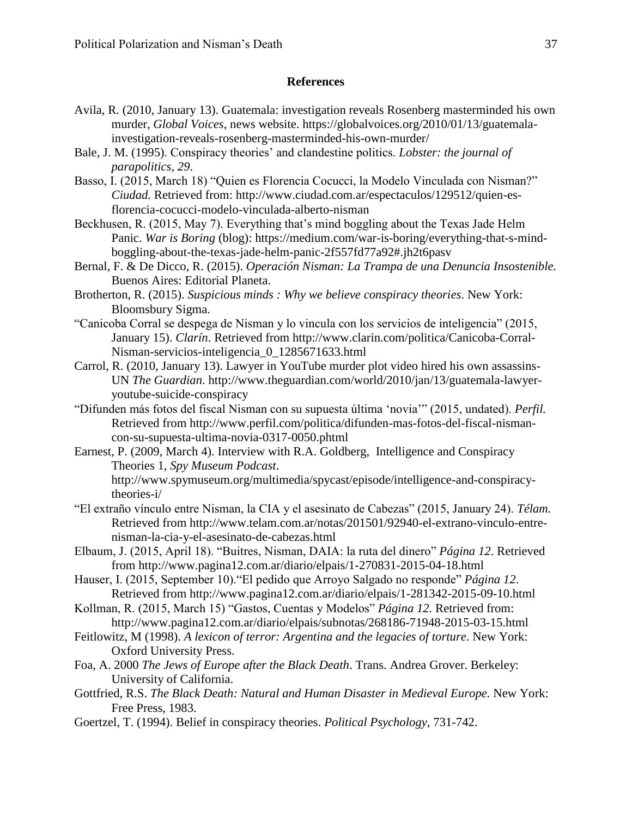### **References**

- Avila, R. (2010, January 13). Guatemala: investigation reveals Rosenberg masterminded his own murder, *Global Voices*, news website. https://globalvoices.org/2010/01/13/guatemalainvestigation-reveals-rosenberg-masterminded-his-own-murder/
- Bale, J. M. (1995). Conspiracy theories' and clandestine politics. *Lobster: the journal of parapolitics*, *29*.
- Basso, I. (2015, March 18) "Quien es Florencia Cocucci, la Modelo Vinculada con Nisman?" *Ciudad.* Retrieved from: http://www.ciudad.com.ar/espectaculos/129512/quien-esflorencia-cocucci-modelo-vinculada-alberto-nisman
- Beckhusen, R. (2015, May 7). Everything that's mind boggling about the Texas Jade Helm Panic. *War is Boring* (blog): [https://medium.com/war-is-boring/everything-that-s-mind](https://medium.com/war-is-boring/everything-that-s-mind-boggling-about-the-texas-jade-helm-panic-2f557fd77a92#.jh2t6pasv)[boggling-about-the-texas-jade-helm-panic-2f557fd77a92#.jh2t6pasv](https://medium.com/war-is-boring/everything-that-s-mind-boggling-about-the-texas-jade-helm-panic-2f557fd77a92#.jh2t6pasv)
- Bernal, F. & De Dicco, R. (2015). *Operación Nisman: La Trampa de una Denuncia Insostenible.*  Buenos Aires: Editorial Planeta.
- Brotherton, R. (2015). *Suspicious minds : Why we believe conspiracy theories*. New York: Bloomsbury Sigma.
- "Canicoba Corral se despega de Nisman y lo vincula con los servicios de inteligencia" (2015, January 15). *Clarín*. Retrieved from http://www.clarin.com/politica/Canicoba-Corral-Nisman-servicios-inteligencia\_0\_1285671633.html
- Carrol, R. (2010, January 13). Lawyer in YouTube murder plot video hired his own assassins-UN *The Guardian*. [http://www.theguardian.com/world/2010/jan/13/guatemala-lawyer](http://www.theguardian.com/world/2010/jan/13/guatemala-lawyer-youtube-suicide-conspiracy)[youtube-suicide-conspiracy](http://www.theguardian.com/world/2010/jan/13/guatemala-lawyer-youtube-suicide-conspiracy)
- "Difunden más fotos del fiscal Nisman con su supuesta última 'novia'" (2015, undated). *Perfil.* Retrieved from [http://www.perfil.com/politica/difunden-mas-fotos-del-fiscal-nisman](http://www.perfil.com/politica/difunden-mas-fotos-del-fiscal-nisman-con-su-supuesta-ultima-novia-0317-0050.phtml)[con-su-supuesta-ultima-novia-0317-0050.phtml](http://www.perfil.com/politica/difunden-mas-fotos-del-fiscal-nisman-con-su-supuesta-ultima-novia-0317-0050.phtml)
- Earnest, P. (2009, March 4). Interview with R.A. Goldberg, Intelligence and Conspiracy Theories 1, *Spy Museum Podcast*.

[http://www.spymuseum.org/multimedia/spycast/episode/intelligence-and-conspiracy](http://www.spymuseum.org/multimedia/spycast/episode/intelligence-and-conspiracy-theories-i/)[theories-i/](http://www.spymuseum.org/multimedia/spycast/episode/intelligence-and-conspiracy-theories-i/)

- "El extraño vínculo entre Nisman, la CIA y el asesinato de Cabezas" (2015, January 24). *Télam.*  Retrieved from [http://www.telam.com.ar/notas/201501/92940-el-extrano-vinculo-entre](http://www.telam.com.ar/notas/201501/92940-el-extrano-vinculo-entre-nisman-la-cia-y-el-asesinato-de-cabezas.html)[nisman-la-cia-y-el-asesinato-de-cabezas.html](http://www.telam.com.ar/notas/201501/92940-el-extrano-vinculo-entre-nisman-la-cia-y-el-asesinato-de-cabezas.html)
- Elbaum, J. (2015, April 18). "Buitres, Nisman, DAIA: la ruta del dinero" *Página 12*. Retrieved from<http://www.pagina12.com.ar/diario/elpais/1-270831-2015-04-18.html>
- Hauser, I. (2015, September 10)."El pedido que Arroyo Salgado no responde" *Página 12*. Retrieved from<http://www.pagina12.com.ar/diario/elpais/1-281342-2015-09-10.html>
- Kollman, R. (2015, March 15) "Gastos, Cuentas y Modelos" *Página 12.* Retrieved from: <http://www.pagina12.com.ar/diario/elpais/subnotas/268186-71948-2015-03-15.html>
- Feitlowitz, M (1998). *A lexicon of terror: Argentina and the legacies of torture*. New York: Oxford University Press.
- Foa, A. 2000 *The Jews of Europe after the Black Death*. Trans. Andrea Grover. Berkeley: University of California.
- Gottfried, R.S. *The Black Death: Natural and Human Disaster in Medieval Europe.* New York: Free Press, 1983.
- Goertzel, T. (1994). Belief in conspiracy theories. *Political Psychology*, 731-742.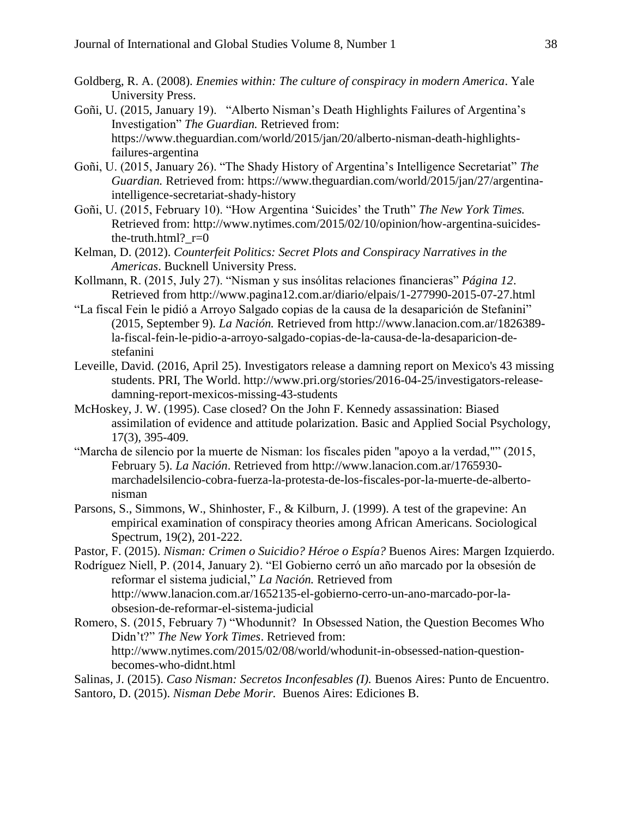- Goldberg, R. A. (2008). *Enemies within: The culture of conspiracy in modern America*. Yale University Press.
- Goñi, U. (2015, January 19). "Alberto Nisman's Death Highlights Failures of Argentina's Investigation" *The Guardian.* Retrieved from: [https://www.theguardian.com/world/2015/jan/20/alberto-nisman-death-highlights](https://www.theguardian.com/world/2015/jan/20/alberto-nisman-death-highlights-failures-argentina)[failures-argentina](https://www.theguardian.com/world/2015/jan/20/alberto-nisman-death-highlights-failures-argentina)
- Goñi, U. (2015, January 26). "The Shady History of Argentina's Intelligence Secretariat" *The Guardian.* Retrieved from: [https://www.theguardian.com/world/2015/jan/27/argentina](https://www.theguardian.com/world/2015/jan/27/argentina-intelligence-secretariat-shady-history)[intelligence-secretariat-shady-history](https://www.theguardian.com/world/2015/jan/27/argentina-intelligence-secretariat-shady-history)
- Goñi, U. (2015, February 10). "How Argentina 'Suicides' the Truth" *The New York Times.*  Retrieved from: [http://www.nytimes.com/2015/02/10/opinion/how-argentina-suicides](http://www.nytimes.com/2015/02/10/opinion/how-argentina-suicides-the-truth.html?_r=0)the-truth.html? $r=0$
- Kelman, D. (2012). *Counterfeit Politics: Secret Plots and Conspiracy Narratives in the Americas*. Bucknell University Press.
- Kollmann, R. (2015, July 27). "Nisman y sus insólitas relaciones financieras" *Página 12*. Retrieved from<http://www.pagina12.com.ar/diario/elpais/1-277990-2015-07-27.html>
- "La fiscal Fein le pidió a Arroyo Salgado copias de la causa de la desaparición de Stefanini" (2015, September 9). *La Nación.* Retrieved from [http://www.lanacion.com.ar/1826389](http://www.lanacion.com.ar/1826389-la-fiscal-fein-le-pidio-a-arroyo-salgado-copias-de-la-causa-de-la-desaparicion-de-stefanini) [la-fiscal-fein-le-pidio-a-arroyo-salgado-copias-de-la-causa-de-la-desaparicion-de](http://www.lanacion.com.ar/1826389-la-fiscal-fein-le-pidio-a-arroyo-salgado-copias-de-la-causa-de-la-desaparicion-de-stefanini)[stefanini](http://www.lanacion.com.ar/1826389-la-fiscal-fein-le-pidio-a-arroyo-salgado-copias-de-la-causa-de-la-desaparicion-de-stefanini)
- Leveille, David. (2016, April 25). Investigators release a damning report on Mexico's 43 missing students. PRI, The World. http://www.pri.org/stories/2016-04-25/investigators-releasedamning-report-mexicos-missing-43-students
- McHoskey, J. W. (1995). Case closed? On the John F. Kennedy assassination: Biased assimilation of evidence and attitude polarization. Basic and Applied Social Psychology, 17(3), 395-409.
- "Marcha de silencio por la muerte de Nisman: los fiscales piden "apoyo a la verdad,"" (2015, February 5). *La Nación*. Retrieved from [http://www.lanacion.com.ar/1765930](http://www.lanacion.com.ar/1765930-marchadelsilencio-cobra-fuerza-la-protesta-de-los-fiscales-por-la-muerte-de-alberto-nisman) [marchadelsilencio-cobra-fuerza-la-protesta-de-los-fiscales-por-la-muerte-de-alberto](http://www.lanacion.com.ar/1765930-marchadelsilencio-cobra-fuerza-la-protesta-de-los-fiscales-por-la-muerte-de-alberto-nisman)[nisman](http://www.lanacion.com.ar/1765930-marchadelsilencio-cobra-fuerza-la-protesta-de-los-fiscales-por-la-muerte-de-alberto-nisman)
- Parsons, S., Simmons, W., Shinhoster, F., & Kilburn, J. (1999). A test of the grapevine: An empirical examination of conspiracy theories among African Americans. Sociological Spectrum, 19(2), 201-222.

Pastor, F. (2015). *Nisman: Crimen o Suicidio? Héroe o Espía?* Buenos Aires: Margen Izquierdo.

- Rodríguez Niell, P. (2014, January 2). "El Gobierno cerró un año marcado por la obsesión de reformar el sistema judicial," *La Nación.* Retrieved from [http://www.lanacion.com.ar/1652135-el-gobierno-cerro-un-ano-marcado-por-la](http://www.lanacion.com.ar/1652135-el-gobierno-cerro-un-ano-marcado-por-la-obsesion-de-reformar-el-sistema-judicial)[obsesion-de-reformar-el-sistema-judicial](http://www.lanacion.com.ar/1652135-el-gobierno-cerro-un-ano-marcado-por-la-obsesion-de-reformar-el-sistema-judicial)
- Romero, S. (2015, February 7) "Whodunnit? In Obsessed Nation, the Question Becomes Who Didn't?" *The New York Times*. Retrieved from: [http://www.nytimes.com/2015/02/08/world/whodunit-in-obsessed-nation-question](http://www.nytimes.com/2015/02/08/world/whodunit-in-obsessed-nation-question-becomes-who-didnt.html)[becomes-who-didnt.html](http://www.nytimes.com/2015/02/08/world/whodunit-in-obsessed-nation-question-becomes-who-didnt.html)
- Salinas, J. (2015). *Caso Nisman: Secretos Inconfesables (I).* Buenos Aires: Punto de Encuentro.
- Santoro, D. (2015). *Nisman Debe Morir.* Buenos Aires: Ediciones B.